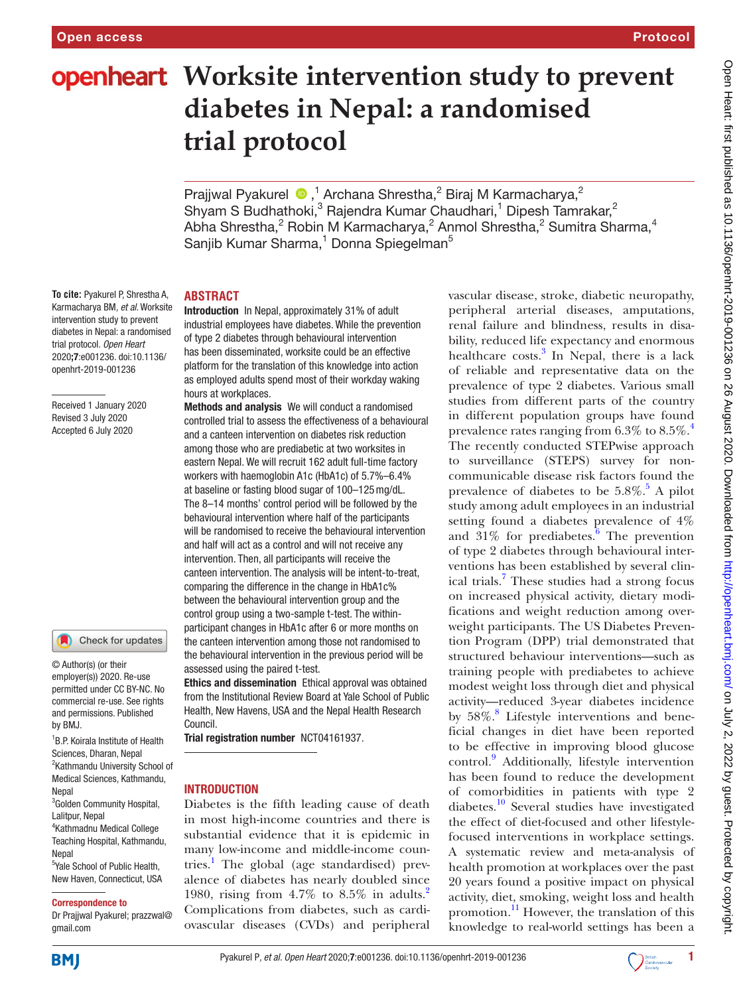# **openheart** Worksite intervention study to prevent **diabetes in Nepal: a randomised trial protocol**

PrajjwalPyakurel  $\bullet$ ,<sup>1</sup> Archana Shrestha,<sup>2</sup> Biraj M Karmacharya,<sup>2</sup> Shyam S Budhathoki, $^3$  Rajendra Kumar Chaudhari,<sup>1</sup> Dipesh Tamrakar,<sup>2</sup> Abha Shrestha,<sup>2</sup> Robin M Karmacharya,<sup>2</sup> Anmol Shrestha,<sup>2</sup> Sumitra Sharma,<sup>4</sup> Sanjib Kumar Sharma,<sup>1</sup> Donna Spiegelman<sup>5</sup>

**To cite:** Pyakurel P, Shrestha A, Karmacharya BM*, et al*. Worksite intervention study to prevent diabetes in Nepal: a randomised trial protocol*. Open Heart* 2020;7:e001236. doi:10.1136/ openhrt-2019-001236

Received 1 January 2020 Revised 3 July 2020 Accepted 6 July 2020

#### Check for updates

© Author(s) (or their employer(s)) 2020. Re-use permitted under CC BY-NC. No commercial re-use. See rights and permissions. Published by BMJ.

1 B.P. Koirala Institute of Health Sciences, Dharan, Nepal <sup>2</sup>Kathmandu University School of Medical Sciences, Kathmandu, Nepal <sup>3</sup>Golden Community Hospital, Lalitpur, Nepal 4 Kathmadnu Medical College Teaching Hospital, Kathmandu, Nepal <sup>5</sup>Yale School of Public Health, New Haven, Connecticut, USA

#### Correspondence to

Dr Prajjwal Pyakurel; prazzwal@ gmail.com

## **ABSTRACT**

Introduction In Nepal, approximately 31% of adult industrial employees have diabetes. While the prevention of type 2 diabetes through behavioural intervention has been disseminated, worksite could be an effective platform for the translation of this knowledge into action as employed adults spend most of their workday waking hours at workplaces.

Methods and analysis We will conduct a randomised controlled trial to assess the effectiveness of a behavioural and a canteen intervention on diabetes risk reduction among those who are prediabetic at two worksites in eastern Nepal. We will recruit 162 adult full-time factory workers with haemoglobin A1c (HbA1c) of 5.7%–6.4% at baseline or fasting blood sugar of 100–125mg/dL. The 8–14 months' control period will be followed by the behavioural intervention where half of the participants will be randomised to receive the behavioural intervention and half will act as a control and will not receive any intervention. Then, all participants will receive the canteen intervention. The analysis will be intent-to-treat, comparing the difference in the change in HbA1c% between the behavioural intervention group and the control group using a two-sample t-test. The withinparticipant changes in HbA1c after 6 or more months on the canteen intervention among those not randomised to the behavioural intervention in the previous period will be assessed using the paired t-test.

Ethics and dissemination Ethical approval was obtained from the Institutional Review Board at Yale School of Public Health, New Havens, USA and the Nepal Health Research Council.

Trial registration number <NCT04161937>.

## INTRODUCTION

Diabetes is the fifth leading cause of death in most high-income countries and there is substantial evidence that it is epidemic in many low-income and middle-income countries.<sup>1</sup> The global (age standardised) prevalence of diabetes has nearly doubled since 1980, rising from  $4.7\%$  to  $8.5\%$  in adults.<sup>[2](#page-6-1)</sup> Complications from diabetes, such as cardiovascular diseases (CVDs) and peripheral

vascular disease, stroke, diabetic neuropathy, peripheral arterial diseases, amputations, renal failure and blindness, results in disability, reduced life expectancy and enormous healthcare costs.<sup>[3](#page-6-2)</sup> In Nepal, there is a lack of reliable and representative data on the prevalence of type 2 diabetes. Various small studies from different parts of the country in different population groups have found prevalence rates ranging from 6.3% to 8.5%.<sup>[4](#page-6-3)</sup> The recently conducted STEPwise approach to surveillance (STEPS) survey for noncommunicable disease risk factors found the prevalence of diabetes to be  $5.8\%$  $5.8\%$ .<sup>5</sup> A pilot study among adult employees in an industrial setting found a diabetes prevalence of 4% and  $31\%$  for prediabetes.<sup>[6](#page-6-5)</sup> The prevention of type 2 diabetes through behavioural interventions has been established by several clin-ical trials.<sup>[7](#page-6-6)</sup> These studies had a strong focus on increased physical activity, dietary modifications and weight reduction among overweight participants. The US Diabetes Prevention Program (DPP) trial demonstrated that structured behaviour interventions—such as training people with prediabetes to achieve modest weight loss through diet and physical activity—reduced 3-year diabetes incidence by 5[8](#page-6-7)%.<sup>8</sup> Lifestyle interventions and beneficial changes in diet have been reported to be effective in improving blood glucose control.[9](#page-6-8) Additionally, lifestyle intervention has been found to reduce the development of comorbidities in patients with type 2 diabetes.<sup>[10](#page-6-9)</sup> Several studies have investigated the effect of diet-focused and other lifestylefocused interventions in workplace settings. A systematic review and meta-analysis of health promotion at workplaces over the past 20 years found a positive impact on physical activity, diet, smoking, weight loss and health promotion.<sup>[11](#page-6-10)</sup> However, the translation of this knowledge to real-world settings has been a



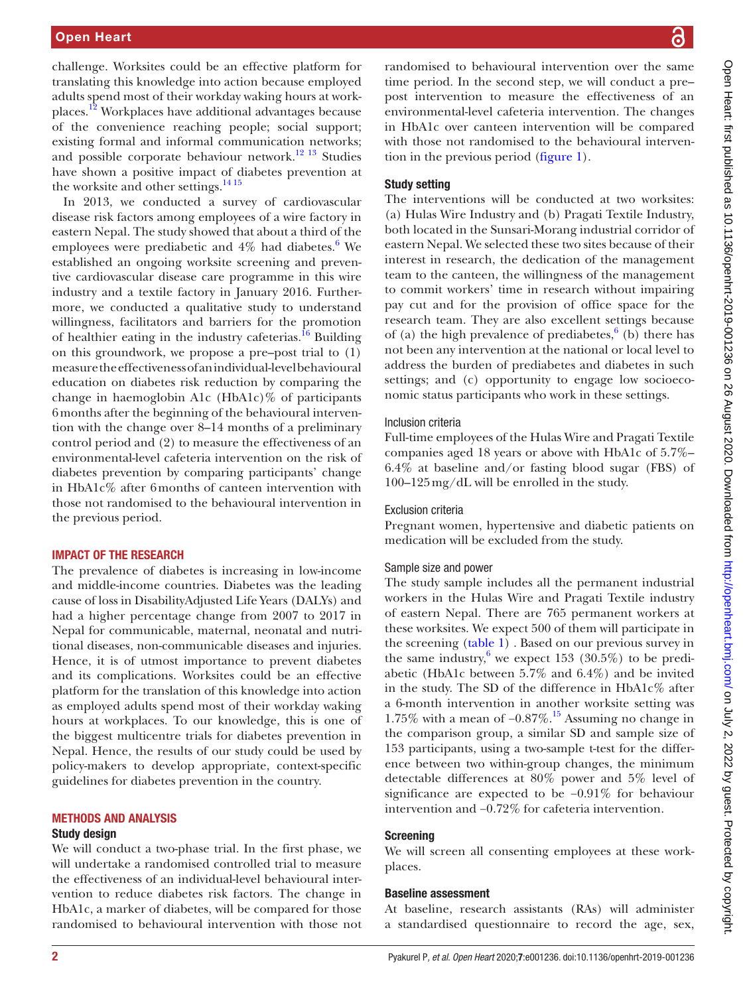challenge. Worksites could be an effective platform for translating this knowledge into action because employed adults spend most of their workday waking hours at workplaces.[12](#page-6-11) Workplaces have additional advantages because of the convenience reaching people; social support; existing formal and informal communication networks; and possible corporate behaviour network.<sup>[12 13](#page-6-11)</sup> Studies have shown a positive impact of diabetes prevention at the worksite and other settings. $1415$ 

In 2013, we conducted a survey of cardiovascular disease risk factors among employees of a wire factory in eastern Nepal. The study showed that about a third of the employees were prediabetic and 4% had diabetes.<sup>6</sup> We established an ongoing worksite screening and preventive cardiovascular disease care programme in this wire industry and a textile factory in January 2016. Furthermore, we conducted a qualitative study to understand willingness, facilitators and barriers for the promotion of healthier eating in the industry cafeterias.<sup>[16](#page-7-1)</sup> Building on this groundwork, we propose a pre–post trial to (1) measure the effectiveness of an individual-level behavioural education on diabetes risk reduction by comparing the change in haemoglobin A1c  $(HbA1c)\%$  of participants 6months after the beginning of the behavioural intervention with the change over 8–14 months of a preliminary control period and (2) to measure the effectiveness of an environmental-level cafeteria intervention on the risk of diabetes prevention by comparing participants' change in HbA1c% after 6months of canteen intervention with those not randomised to the behavioural intervention in the previous period.

## IMPACT OF THE RESEARCH

The prevalence of diabetes is increasing in low-income and middle-income countries. Diabetes was the leading cause of loss in DisabilityAdjusted Life Years (DALYs) and had a higher percentage change from 2007 to 2017 in Nepal for communicable, maternal, neonatal and nutritional diseases, non-communicable diseases and injuries. Hence, it is of utmost importance to prevent diabetes and its complications. Worksites could be an effective platform for the translation of this knowledge into action as employed adults spend most of their workday waking hours at workplaces. To our knowledge, this is one of the biggest multicentre trials for diabetes prevention in Nepal. Hence, the results of our study could be used by policy-makers to develop appropriate, context-specific guidelines for diabetes prevention in the country.

## METHODS AND ANALYSIS

## Study design

We will conduct a two-phase trial. In the first phase, we will undertake a randomised controlled trial to measure the effectiveness of an individual-level behavioural intervention to reduce diabetes risk factors. The change in HbA1c, a marker of diabetes, will be compared for those randomised to behavioural intervention with those not

randomised to behavioural intervention over the same time period. In the second step, we will conduct a pre– post intervention to measure the effectiveness of an environmental-level cafeteria intervention. The changes in HbA1c over canteen intervention will be compared with those not randomised to the behavioural intervention in the previous period ([figure](#page-2-0) 1).

## Study setting

The interventions will be conducted at two worksites: (a) Hulas Wire Industry and (b) Pragati Textile Industry, both located in the Sunsari-Morang industrial corridor of eastern Nepal. We selected these two sites because of their interest in research, the dedication of the management team to the canteen, the willingness of the management to commit workers' time in research without impairing pay cut and for the provision of office space for the research team. They are also excellent settings because of (a) the high prevalence of prediabetes, $6$  (b) there has not been any intervention at the national or local level to address the burden of prediabetes and diabetes in such settings; and (c) opportunity to engage low socioeconomic status participants who work in these settings.

## Inclusion criteria

Full-time employees of the Hulas Wire and Pragati Textile companies aged 18 years or above with HbA1c of 5.7%– 6.4% at baseline and/or fasting blood sugar (FBS) of 100–125mg/dL will be enrolled in the study.

## Exclusion criteria

Pregnant women, hypertensive and diabetic patients on medication will be excluded from the study.

## Sample size and power

The study sample includes all the permanent industrial workers in the Hulas Wire and Pragati Textile industry of eastern Nepal. There are 765 permanent workers at these worksites. We expect 500 of them will participate in the screening [\(table](#page-2-1) 1) . Based on our previous survey in the same industry,<sup>[6](#page-6-5)</sup> we expect 153 (30.5%) to be prediabetic (HbA1c between 5.7% and 6.4%) and be invited in the study. The SD of the difference in HbA1c% after a 6-month intervention in another worksite setting was 1.75% with a mean of  $-0.87\%$ .<sup>[15](#page-7-2)</sup> Assuming no change in the comparison group, a similar SD and sample size of 153 participants, using a two-sample t-test for the difference between two within-group changes, the minimum detectable differences at 80% power and 5% level of significance are expected to be −0.91% for behaviour intervention and −0.72% for cafeteria intervention.

## Screening

We will screen all consenting employees at these workplaces.

#### Baseline assessment

At baseline, research assistants (RAs) will administer a standardised questionnaire to record the age, sex,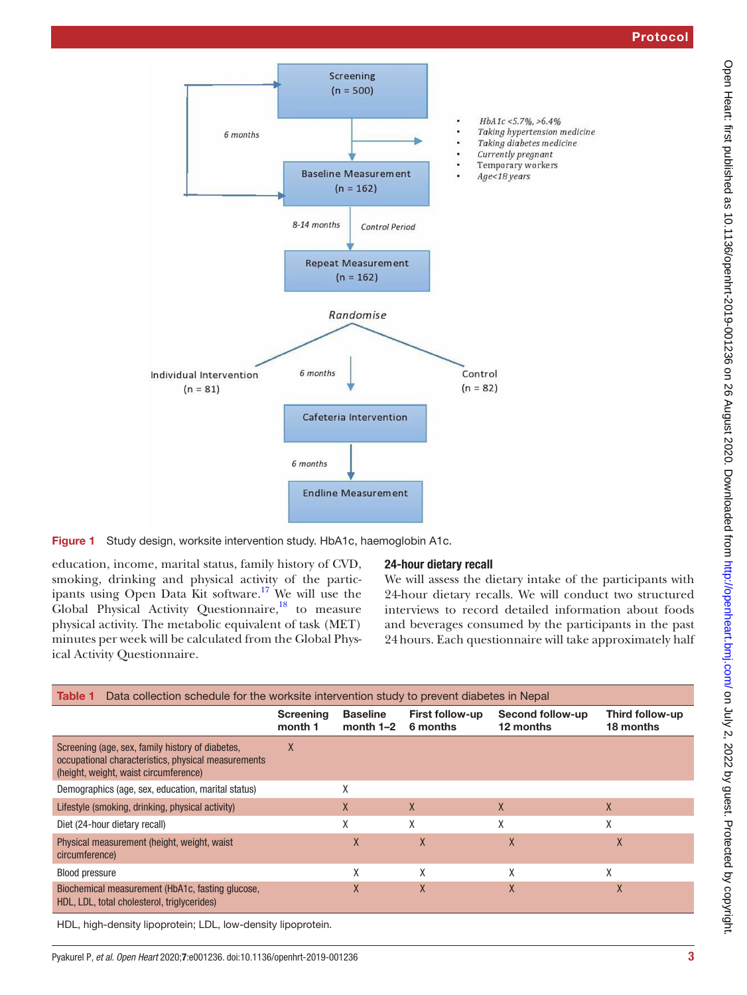

Figure 1 Study design, worksite intervention study. HbA1c, haemoglobin A1c.

education, income, marital status, family history of CVD, smoking, drinking and physical activity of the participants using Open Data Kit software.<sup>17</sup> We will use the Global Physical Activity Questionnaire, $^{18}$  to measure physical activity. The metabolic equivalent of task (MET) minutes per week will be calculated from the Global Physical Activity Questionnaire.

# <span id="page-2-0"></span>24-hour dietary recall

We will assess the dietary intake of the participants with 24-hour dietary recalls. We will conduct two structured interviews to record detailed information about foods and beverages consumed by the participants in the past 24hours. Each questionnaire will take approximately half

<span id="page-2-1"></span>

| Data collection schedule for the worksite intervention study to prevent diabetes in Nepal<br>Table 1                                             |                      |                                |                                    |                               |                              |
|--------------------------------------------------------------------------------------------------------------------------------------------------|----------------------|--------------------------------|------------------------------------|-------------------------------|------------------------------|
|                                                                                                                                                  | Screening<br>month 1 | <b>Baseline</b><br>month $1-2$ | <b>First follow-up</b><br>6 months | Second follow-up<br>12 months | Third follow-up<br>18 months |
| Screening (age, sex, family history of diabetes,<br>occupational characteristics, physical measurements<br>(height, weight, waist circumference) | X                    |                                |                                    |                               |                              |
| Demographics (age, sex, education, marital status)                                                                                               |                      | Χ                              |                                    |                               |                              |
| Lifestyle (smoking, drinking, physical activity)                                                                                                 |                      | X                              | X                                  | X                             | X                            |
| Diet (24-hour dietary recall)                                                                                                                    |                      | χ                              | χ                                  | χ                             | χ                            |
| Physical measurement (height, weight, waist<br>circumference)                                                                                    |                      | X                              | X                                  | X                             | X                            |
| <b>Blood pressure</b>                                                                                                                            |                      | χ                              | X                                  | X                             | χ                            |
| Biochemical measurement (HbA1c, fasting glucose,<br>HDL, LDL, total cholesterol, triglycerides)                                                  |                      | X                              | X                                  | X                             | $\mathsf{X}$                 |

HDL, high-density lipoprotein; LDL, low-density lipoprotein.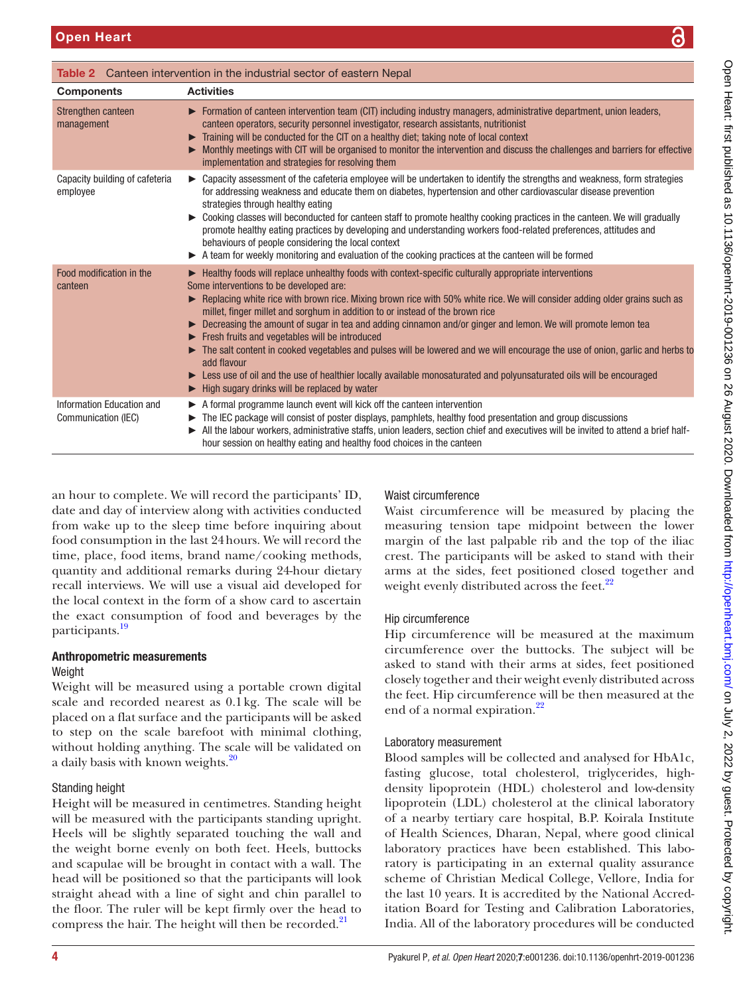<span id="page-3-0"></span>

| Table 2 Canteen intervention in the industrial sector of eastern Nepal |                                                                                                                                                                                                                                                                                                                                                                                                                                                                                                                                                                                                                                                                                                                                                                                                                                                                                   |  |
|------------------------------------------------------------------------|-----------------------------------------------------------------------------------------------------------------------------------------------------------------------------------------------------------------------------------------------------------------------------------------------------------------------------------------------------------------------------------------------------------------------------------------------------------------------------------------------------------------------------------------------------------------------------------------------------------------------------------------------------------------------------------------------------------------------------------------------------------------------------------------------------------------------------------------------------------------------------------|--|
| <b>Components</b>                                                      | <b>Activities</b>                                                                                                                                                                                                                                                                                                                                                                                                                                                                                                                                                                                                                                                                                                                                                                                                                                                                 |  |
| Strengthen canteen<br>management                                       | $\triangleright$ Formation of canteen intervention team (CIT) including industry managers, administrative department, union leaders,<br>canteen operators, security personnel investigator, research assistants, nutritionist<br>Training will be conducted for the CIT on a healthy diet; taking note of local context<br>Monthly meetings with CIT will be organised to monitor the intervention and discuss the challenges and barriers for effective<br>implementation and strategies for resolving them                                                                                                                                                                                                                                                                                                                                                                      |  |
| Capacity building of cafeteria<br>employee                             | ► Capacity assessment of the cafeteria employee will be undertaken to identify the strengths and weakness, form strategies<br>for addressing weakness and educate them on diabetes, hypertension and other cardiovascular disease prevention<br>strategies through healthy eating<br>► Cooking classes will beconducted for canteen staff to promote healthy cooking practices in the canteen. We will gradually<br>promote healthy eating practices by developing and understanding workers food-related preferences, attitudes and<br>behaviours of people considering the local context<br>A team for weekly monitoring and evaluation of the cooking practices at the canteen will be formed                                                                                                                                                                                  |  |
| Food modification in the<br>canteen                                    | ► Healthy foods will replace unhealthy foods with context-specific culturally appropriate interventions<br>Some interventions to be developed are:<br>Replacing white rice with brown rice. Mixing brown rice with 50% white rice. We will consider adding older grains such as<br>millet, finger millet and sorghum in addition to or instead of the brown rice<br>► Decreasing the amount of sugar in tea and adding cinnamon and/or ginger and lemon. We will promote lemon tea<br>Fresh fruits and vegetables will be introduced<br>The salt content in cooked vegetables and pulses will be lowered and we will encourage the use of onion, garlic and herbs to<br>add flavour<br>Eess use of oil and the use of healthier locally available monosaturated and polyunsaturated oils will be encouraged<br>$\blacktriangleright$ High sugary drinks will be replaced by water |  |
| Information Education and<br>Communication (IEC)                       | $\triangleright$ A formal programme launch event will kick off the canteen intervention<br>The IEC package will consist of poster displays, pamphlets, healthy food presentation and group discussions<br>All the labour workers, administrative staffs, union leaders, section chief and executives will be invited to attend a brief half-<br>hour session on healthy eating and healthy food choices in the canteen                                                                                                                                                                                                                                                                                                                                                                                                                                                            |  |

an hour to complete. We will record the participants' ID, date and day of interview along with activities conducted from wake up to the sleep time before inquiring about food consumption in the last 24hours. We will record the time, place, food items, brand name/cooking methods, quantity and additional remarks during 24-hour dietary recall interviews. We will use a visual aid developed for the local context in the form of a show card to ascertain the exact consumption of food and beverages by the participants.<sup>19</sup>

## Anthropometric measurements Weight

Weight will be measured using a portable crown digital scale and recorded nearest as 0.1kg. The scale will be placed on a flat surface and the participants will be asked to step on the scale barefoot with minimal clothing, without holding anything. The scale will be validated on a daily basis with known weights.<sup>20</sup>

# Standing height

Height will be measured in centimetres. Standing height will be measured with the participants standing upright. Heels will be slightly separated touching the wall and the weight borne evenly on both feet. Heels, buttocks and scapulae will be brought in contact with a wall. The head will be positioned so that the participants will look straight ahead with a line of sight and chin parallel to the floor. The ruler will be kept firmly over the head to compress the hair. The height will then be recorded.<sup>21</sup>

# Waist circumference

Waist circumference will be measured by placing the measuring tension tape midpoint between the lower margin of the last palpable rib and the top of the iliac crest. The participants will be asked to stand with their arms at the sides, feet positioned closed together and weight evenly distributed across the feet. $^{22}$  $^{22}$  $^{22}$ 

# Hip circumference

Hip circumference will be measured at the maximum circumference over the buttocks. The subject will be asked to stand with their arms at sides, feet positioned closely together and their weight evenly distributed across the feet. Hip circumference will be then measured at the end of a normal expiration.<sup>22</sup>

# Laboratory measurement

Blood samples will be collected and analysed for HbA1c, fasting glucose, total cholesterol, triglycerides, highdensity lipoprotein (HDL) cholesterol and low-density lipoprotein (LDL) cholesterol at the clinical laboratory of a nearby tertiary care hospital, B.P. Koirala Institute of Health Sciences, Dharan, Nepal, where good clinical laboratory practices have been established. This laboratory is participating in an external quality assurance scheme of Christian Medical College, Vellore, India for the last 10 years. It is accredited by the National Accreditation Board for Testing and Calibration Laboratories, India. All of the laboratory procedures will be conducted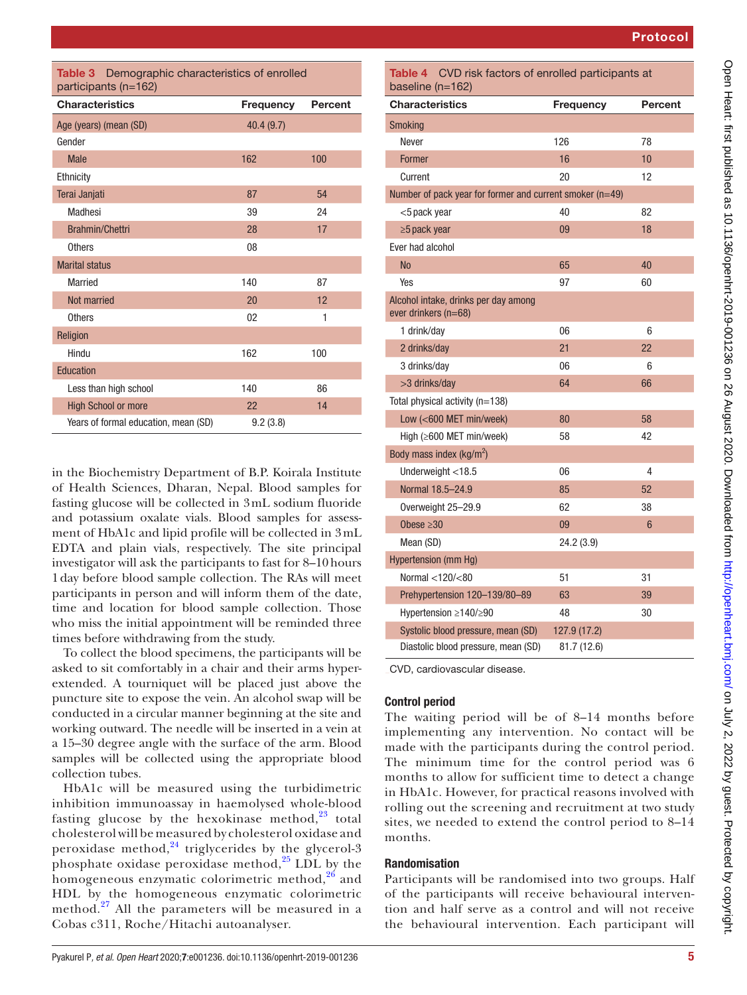Protocol

<span id="page-4-0"></span>

| <b>Table 3</b> Demographic characteristics of enrolled |
|--------------------------------------------------------|
| participants (n=162)                                   |

| <b>Characteristics</b>               | Frequency | <b>Percent</b> |
|--------------------------------------|-----------|----------------|
| Age (years) (mean (SD)               | 40.4(9.7) |                |
| Gender                               |           |                |
| <b>Male</b>                          | 162       | 100            |
| Ethnicity                            |           |                |
| Terai Janjati                        | 87        | 54             |
| Madhesi                              | 39        | 24             |
| <b>Brahmin/Chettri</b>               | 28        | 17             |
| <b>Others</b>                        | 08        |                |
| <b>Marital status</b>                |           |                |
| Married                              | 140       | 87             |
| Not married                          | 20        | 12             |
| <b>Others</b>                        | 02        | 1              |
| Religion                             |           |                |
| Hindu                                | 162       | 100            |
| Education                            |           |                |
| Less than high school                | 140       | 86             |
| <b>High School or more</b>           | 22        | 14             |
| Years of formal education, mean (SD) | 9.2(3.8)  |                |

in the Biochemistry Department of B.P. Koirala Institute of Health Sciences, Dharan, Nepal. Blood samples for fasting glucose will be collected in 3mL sodium fluoride and potassium oxalate vials. Blood samples for assessment of HbA1c and lipid profile will be collected in 3mL EDTA and plain vials, respectively. The site principal investigator will ask the participants to fast for 8–10hours 1day before blood sample collection. The RAs will meet participants in person and will inform them of the date, time and location for blood sample collection. Those who miss the initial appointment will be reminded three times before withdrawing from the study.

To collect the blood specimens, the participants will be asked to sit comfortably in a chair and their arms hyperextended. A tourniquet will be placed just above the puncture site to expose the vein. An alcohol swap will be conducted in a circular manner beginning at the site and working outward. The needle will be inserted in a vein at a 15–30 degree angle with the surface of the arm. Blood samples will be collected using the appropriate blood collection tubes.

HbA1c will be measured using the turbidimetric inhibition immunoassay in haemolysed whole-blood fasting glucose by the hexokinase method, $^{23}$  $^{23}$  $^{23}$  total cholesterol will be measured by cholesterol oxidase and peroxidase method, $24$  triglycerides by the glycerol-3 phosphate oxidase peroxidase method, $^{25}$  $^{25}$  $^{25}$  LDL by the homogeneous enzymatic colorimetric method,<sup>[26](#page-7-12)</sup> and HDL by the homogeneous enzymatic colorimetric method.<sup>27</sup> All the parameters will be measured in a Cobas c311, Roche/Hitachi autoanalyser.

| Table 4 CVD risk factors of enrolled participants at<br>baseline (n=162) |                  |         |
|--------------------------------------------------------------------------|------------------|---------|
| <b>Characteristics</b>                                                   | <b>Frequency</b> | Percent |
| Smoking                                                                  |                  |         |
| Never                                                                    | 126              | 78      |
| <b>Former</b>                                                            | 16               | 10      |
| Current                                                                  | 20               | 12      |
| Number of pack year for former and current smoker (n=49)                 |                  |         |
| <5 pack year                                                             | 40               | 82      |
| $\geq$ 5 pack year                                                       | 09               | 18      |
| Ever had alcohol                                                         |                  |         |
| <b>No</b>                                                                | 65               | 40      |
| Yes                                                                      | 97               | 60      |
| Alcohol intake, drinks per day among<br>ever drinkers $(n=68)$           |                  |         |
| 1 drink/day                                                              | 06               | 6       |
| 2 drinks/day                                                             | 21               | 22      |
| 3 drinks/day                                                             | 06               | 6       |
| >3 drinks/day                                                            | 64               | 66      |
| Total physical activity (n=138)                                          |                  |         |
| Low (<600 MET min/week)                                                  | 80               | 58      |
| High $(≥600$ MET min/week)                                               | 58               | 42      |
| Body mass index $(kg/m^2)$                                               |                  |         |
| Underweight <18.5                                                        | 06               | 4       |
| Normal 18.5-24.9                                                         | 85               | 52      |
| Overweight 25-29.9                                                       | 62               | 38      |
| Obese $\geq 30$                                                          | 09               | 6       |
| Mean (SD)                                                                | 24.2 (3.9)       |         |
| Hypertension (mm Hg)                                                     |                  |         |
| Normal <120/<80                                                          | 51               | 31      |
| Prehypertension 120-139/80-89                                            | 63               | 39      |
| Hypertension $\geq$ 140/ $\geq$ 90                                       | 48               | 30      |
| Systolic blood pressure, mean (SD)                                       | 127.9 (17.2)     |         |
| Diastolic blood pressure, mean (SD)                                      | 81.7 (12.6)      |         |

CVD, cardiovascular disease.

# Control period

The waiting period will be of 8–14 months before implementing any intervention. No contact will be made with the participants during the control period. The minimum time for the control period was 6 months to allow for sufficient time to detect a change in HbA1c. However, for practical reasons involved with rolling out the screening and recruitment at two study sites, we needed to extend the control period to 8–14 months.

## Randomisation

Participants will be randomised into two groups. Half of the participants will receive behavioural intervention and half serve as a control and will not receive the behavioural intervention. Each participant will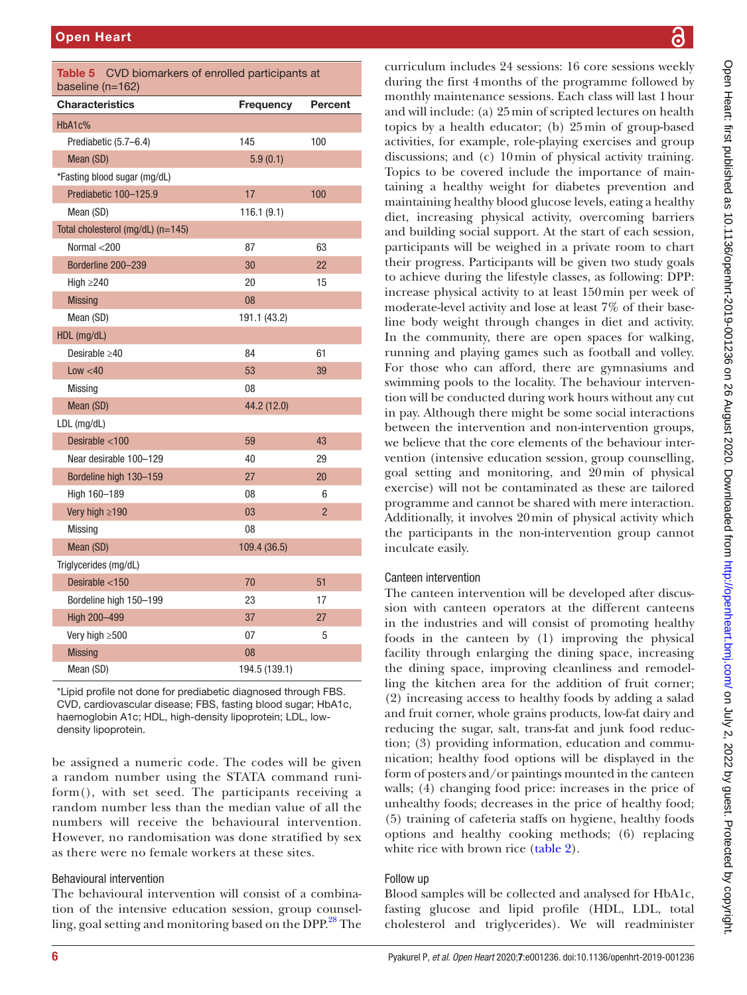| Table 5<br>CVD biomarkers of enrolled participants at<br>baseline (n=162) |                  |                |  |
|---------------------------------------------------------------------------|------------------|----------------|--|
| <b>Characteristics</b>                                                    | <b>Frequency</b> | <b>Percent</b> |  |
| HbA1c%                                                                    |                  |                |  |
| Prediabetic (5.7–6.4)                                                     | 145              | 100            |  |
| Mean (SD)                                                                 | 5.9(0.1)         |                |  |
| *Fasting blood sugar (mg/dL)                                              |                  |                |  |
| Prediabetic 100-125.9                                                     | 17               | 100            |  |
| Mean (SD)                                                                 | 116.1(9.1)       |                |  |
| Total cholesterol (mg/dL) (n=145)                                         |                  |                |  |
| Normal $<$ 200                                                            | 87               | 63             |  |
| Borderline 200-239                                                        | 30               | 22             |  |
| High $\geq$ 240                                                           | 20               | 15             |  |
| <b>Missing</b>                                                            | 08               |                |  |
| Mean (SD)                                                                 | 191.1 (43.2)     |                |  |
| HDL (mg/dL)                                                               |                  |                |  |
| Desirable $\geq 40$                                                       | 84               | 61             |  |
| Low < 40                                                                  | 53               | 39             |  |
| Missing                                                                   | 08               |                |  |
| Mean (SD)                                                                 | 44.2 (12.0)      |                |  |
| $LDL$ (mg/dL)                                                             |                  |                |  |
| Desirable <100                                                            | 59               | 43             |  |
| Near desirable 100-129                                                    | 40               | 29             |  |
| Bordeline high 130-159                                                    | 27               | 20             |  |
| High 160-189                                                              | 08               | 6              |  |
| Very high $\geq$ 190                                                      | 03               | $\overline{2}$ |  |
| Missing                                                                   | 08               |                |  |
| Mean (SD)                                                                 | 109.4 (36.5)     |                |  |
| Triglycerides (mg/dL)                                                     |                  |                |  |
| Desirable $<$ 150                                                         | 70               | 51             |  |
| Bordeline high 150-199                                                    | 23               | 17             |  |
| High 200-499                                                              | 37               | 27             |  |
| Very high ≥500                                                            | 07               | 5              |  |
| <b>Missing</b>                                                            | 08               |                |  |
| Mean (SD)                                                                 | 194.5 (139.1)    |                |  |

\*Lipid profile not done for prediabetic diagnosed through FBS. CVD, cardiovascular disease; FBS, fasting blood sugar; HbA1c, haemoglobin A1c; HDL, high-density lipoprotein; LDL, lowdensity lipoprotein.

be assigned a numeric code. The codes will be given a random number using the STATA command runiform(), with set seed. The participants receiving a random number less than the median value of all the numbers will receive the behavioural intervention. However, no randomisation was done stratified by sex as there were no female workers at these sites.

# Behavioural intervention

The behavioural intervention will consist of a combination of the intensive education session, group counselling, goal setting and monitoring based on the DPP.<sup>28</sup> The

curriculum includes 24 sessions: 16 core sessions weekly during the first 4months of the programme followed by monthly maintenance sessions. Each class will last 1hour and will include: (a) 25min of scripted lectures on health topics by a health educator; (b) 25min of group-based activities, for example, role-playing exercises and group discussions; and (c) 10min of physical activity training. Topics to be covered include the importance of maintaining a healthy weight for diabetes prevention and maintaining healthy blood glucose levels, eating a healthy diet, increasing physical activity, overcoming barriers and building social support. At the start of each session, participants will be weighed in a private room to chart their progress. Participants will be given two study goals to achieve during the lifestyle classes, as following: DPP: increase physical activity to at least 150min per week of moderate-level activity and lose at least 7% of their baseline body weight through changes in diet and activity. In the community, there are open spaces for walking, running and playing games such as football and volley. For those who can afford, there are gymnasiums and swimming pools to the locality. The behaviour intervention will be conducted during work hours without any cut in pay. Although there might be some social interactions between the intervention and non-intervention groups, we believe that the core elements of the behaviour intervention (intensive education session, group counselling, goal setting and monitoring, and 20min of physical exercise) will not be contaminated as these are tailored programme and cannot be shared with mere interaction. Additionally, it involves 20min of physical activity which the participants in the non-intervention group cannot inculcate easily.

# Canteen intervention

The canteen intervention will be developed after discussion with canteen operators at the different canteens in the industries and will consist of promoting healthy foods in the canteen by (1) improving the physical facility through enlarging the dining space, increasing the dining space, improving cleanliness and remodelling the kitchen area for the addition of fruit corner; (2) increasing access to healthy foods by adding a salad and fruit corner, whole grains products, low-fat dairy and reducing the sugar, salt, trans-fat and junk food reduction; (3) providing information, education and communication; healthy food options will be displayed in the form of posters and/or paintings mounted in the canteen walls; (4) changing food price: increases in the price of unhealthy foods; decreases in the price of healthy food; (5) training of cafeteria staffs on hygiene, healthy foods options and healthy cooking methods; (6) replacing white rice with brown rice [\(table](#page-3-0) 2).

# Follow up

Blood samples will be collected and analysed for HbA1c, fasting glucose and lipid profile (HDL, LDL, total cholesterol and triglycerides). We will readminister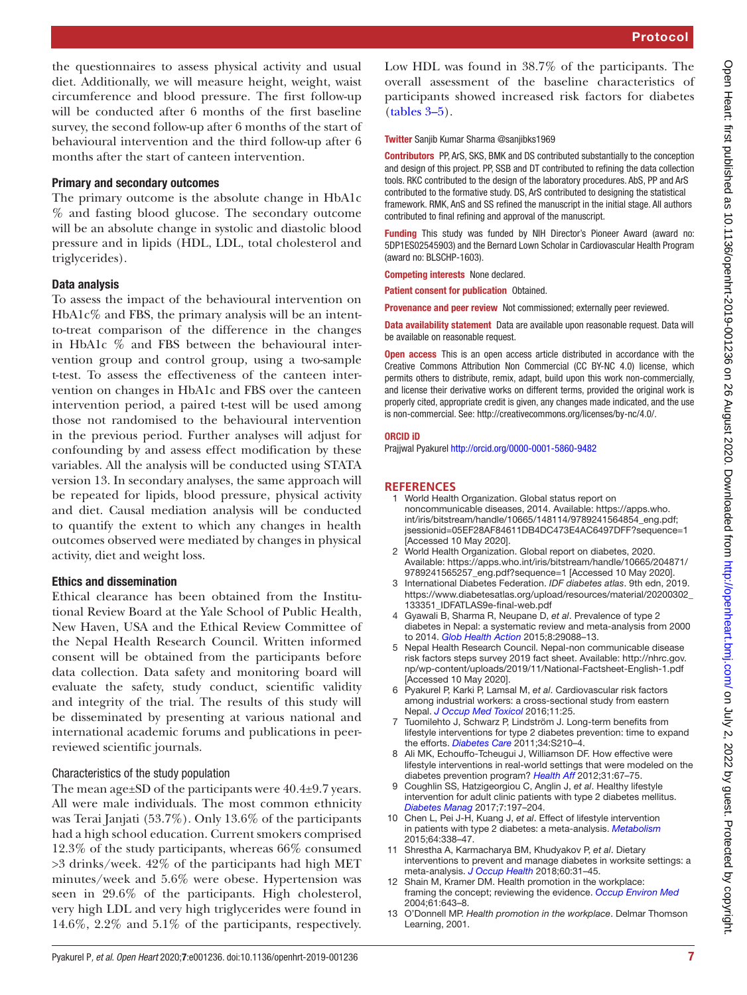the questionnaires to assess physical activity and usual diet. Additionally, we will measure height, weight, waist circumference and blood pressure. The first follow-up will be conducted after 6 months of the first baseline survey, the second follow-up after 6 months of the start of behavioural intervention and the third follow-up after 6 months after the start of canteen intervention.

## Primary and secondary outcomes

The primary outcome is the absolute change in HbA1c % and fasting blood glucose. The secondary outcome will be an absolute change in systolic and diastolic blood pressure and in lipids (HDL, LDL, total cholesterol and triglycerides).

## Data analysis

To assess the impact of the behavioural intervention on  $HbA1c\%$  and FBS, the primary analysis will be an intentto-treat comparison of the difference in the changes in HbA1c % and FBS between the behavioural intervention group and control group, using a two-sample t-test. To assess the effectiveness of the canteen intervention on changes in HbA1c and FBS over the canteen intervention period, a paired t-test will be used among those not randomised to the behavioural intervention in the previous period. Further analyses will adjust for confounding by and assess effect modification by these variables. All the analysis will be conducted using STATA version 13. In secondary analyses, the same approach will be repeated for lipids, blood pressure, physical activity and diet. Causal mediation analysis will be conducted to quantify the extent to which any changes in health outcomes observed were mediated by changes in physical activity, diet and weight loss.

# Ethics and dissemination

Ethical clearance has been obtained from the Institutional Review Board at the Yale School of Public Health, New Haven, USA and the Ethical Review Committee of the Nepal Health Research Council. Written informed consent will be obtained from the participants before data collection. Data safety and monitoring board will evaluate the safety, study conduct, scientific validity and integrity of the trial. The results of this study will be disseminated by presenting at various national and international academic forums and publications in peerreviewed scientific journals.

# Characteristics of the study population

The mean age±SD of the participants were 40.4±9.7 years. All were male individuals. The most common ethnicity was Terai Janjati (53.7%). Only 13.6% of the participants had a high school education. Current smokers comprised 12.3% of the study participants, whereas 66% consumed >3 drinks/week. 42% of the participants had high MET minutes/week and 5.6% were obese. Hypertension was seen in 29.6% of the participants. High cholesterol, very high LDL and very high triglycerides were found in 14.6%, 2.2% and 5.1% of the participants, respectively.

Low HDL was found in 38.7% of the participants. The overall assessment of the baseline characteristics of participants showed increased risk factors for diabetes [\(tables](#page-4-0) 3–5).

Twitter Sanjib Kumar Sharma [@sanjibks1969](https://twitter.com/sanjibks1969)

Contributors PP, ArS, SKS, BMK and DS contributed substantially to the conception and design of this project. PP, SSB and DT contributed to refining the data collection tools. RKC contributed to the design of the laboratory procedures. AbS, PP and ArS contributed to the formative study. DS, ArS contributed to designing the statistical framework. RMK, AnS and SS refined the manuscript in the initial stage. All authors contributed to final refining and approval of the manuscript.

Funding This study was funded by NIH Director's Pioneer Award (award no: 5DP1ES02545903) and the Bernard Lown Scholar in Cardiovascular Health Program (award no: BLSCHP-1603).

Competing interests None declared.

Patient consent for publication Obtained.

Provenance and peer review Not commissioned; externally peer reviewed.

Data availability statement Data are available upon reasonable request. Data will be available on reasonable request.

Open access This is an open access article distributed in accordance with the Creative Commons Attribution Non Commercial (CC BY-NC 4.0) license, which permits others to distribute, remix, adapt, build upon this work non-commercially, and license their derivative works on different terms, provided the original work is properly cited, appropriate credit is given, any changes made indicated, and the use is non-commercial. See: [http://creativecommons.org/licenses/by-nc/4.0/.](http://creativecommons.org/licenses/by-nc/4.0/)

#### ORCID iD

Prajjwal Pyakurel <http://orcid.org/0000-0001-5860-9482>

## **REFERENCES**

- <span id="page-6-0"></span>1 World Health Organization. Global status report on noncommunicable diseases, 2014. Available: [https://apps.who.](https://apps.who.int/iris/bitstream/handle/10665/148114/9789241564854_eng.pdf;jsessionid=05EF28AF84611DB4DC473E4AC6497DFF?sequence=1) [int/iris/bitstream/handle/10665/148114/9789241564854\\_eng.pdf;](https://apps.who.int/iris/bitstream/handle/10665/148114/9789241564854_eng.pdf;jsessionid=05EF28AF84611DB4DC473E4AC6497DFF?sequence=1) [jsessionid=05EF28AF84611DB4DC473E4AC6497DFF?sequence=1](https://apps.who.int/iris/bitstream/handle/10665/148114/9789241564854_eng.pdf;jsessionid=05EF28AF84611DB4DC473E4AC6497DFF?sequence=1)  [Accessed 10 May 2020].
- <span id="page-6-1"></span>2 World Health Organization. Global report on diabetes, 2020. Available: [https://apps.who.int/iris/bitstream/handle/10665/204871/](https://apps.who.int/iris/bitstream/handle/10665/204871/9789241565257_eng.pdf?sequence=1) [9789241565257\\_eng.pdf?sequence=1](https://apps.who.int/iris/bitstream/handle/10665/204871/9789241565257_eng.pdf?sequence=1) [Accessed 10 May 2020].
- <span id="page-6-2"></span>3 International Diabetes Federation. *IDF diabetes atlas*. 9th edn, 2019. [https://www.diabetesatlas.org/upload/resources/material/20200302\\_](https://www.diabetesatlas.org/upload/resources/material/20200302_133351_IDFATLAS9e-final-web.pdf) [133351\\_IDFATLAS9e-final-web.pdf](https://www.diabetesatlas.org/upload/resources/material/20200302_133351_IDFATLAS9e-final-web.pdf)
- <span id="page-6-3"></span>4 Gyawali B, Sharma R, Neupane D, *et al*. Prevalence of type 2 diabetes in Nepal: a systematic review and meta-analysis from 2000 to 2014. *[Glob Health Action](http://dx.doi.org/10.3402/gha.v8.29088)* 2015;8:29088–13.
- <span id="page-6-4"></span>5 Nepal Health Research Council. Nepal-non communicable disease risk factors steps survey 2019 fact sheet. Available: [http://nhrc.gov.](http://nhrc.gov.np/wp-content/uploads/2019/11/National-Factsheet-English-1.pdf) [np/wp-content/uploads/2019/11/National-Factsheet-English-1.pdf](http://nhrc.gov.np/wp-content/uploads/2019/11/National-Factsheet-English-1.pdf) [Accessed 10 May 2020].
- <span id="page-6-5"></span>6 Pyakurel P, Karki P, Lamsal M, *et al*. Cardiovascular risk factors among industrial workers: a cross-sectional study from eastern Nepal. *[J Occup Med Toxicol](http://dx.doi.org/10.1186/s12995-016-0109-6)* 2016;11:25.
- <span id="page-6-6"></span>7 Tuomilehto J, Schwarz P, Lindström J. Long-term benefits from lifestyle interventions for type 2 diabetes prevention: time to expand the efforts. *[Diabetes Care](http://dx.doi.org/10.2337/dc11-s222)* 2011;34:S210–4.
- <span id="page-6-7"></span>8 Ali MK, Echouffo-Tcheugui J, Williamson DF. How effective were lifestyle interventions in real-world settings that were modeled on the diabetes prevention program? *[Health Aff](http://dx.doi.org/10.1377/hlthaff.2011.1009)* 2012;31:67–75.
- <span id="page-6-8"></span>9 Coughlin SS, Hatzigeorgiou C, Anglin J, *et al*. Healthy lifestyle intervention for adult clinic patients with type 2 diabetes mellitus. *[Diabetes Manag](http://www.ncbi.nlm.nih.gov/pubmed/http://www.ncbi.nlm.nih.gov/pubmed/28794802)* 2017;7:197–204.
- <span id="page-6-9"></span>10 Chen L, Pei J-H, Kuang J, *et al*. Effect of lifestyle intervention in patients with type 2 diabetes: a meta-analysis. *[Metabolism](http://dx.doi.org/10.1016/j.metabol.2014.10.018)* 2015;64:338–47.
- <span id="page-6-10"></span>11 Shrestha A, Karmacharya BM, Khudyakov P, *et al*. Dietary interventions to prevent and manage diabetes in worksite settings: a meta-analysis. *[J Occup Health](http://dx.doi.org/10.1539/joh.17-0121-RA)* 2018;60:31–45.
- <span id="page-6-11"></span>12 Shain M, Kramer DM. Health promotion in the workplace: framing the concept; reviewing the evidence. *[Occup Environ Med](http://dx.doi.org/10.1136/oem.2004.013193)* 2004;61:643–8.
- 13 O'Donnell MP. *Health promotion in the workplace*. Delmar Thomson Learning, 2001.